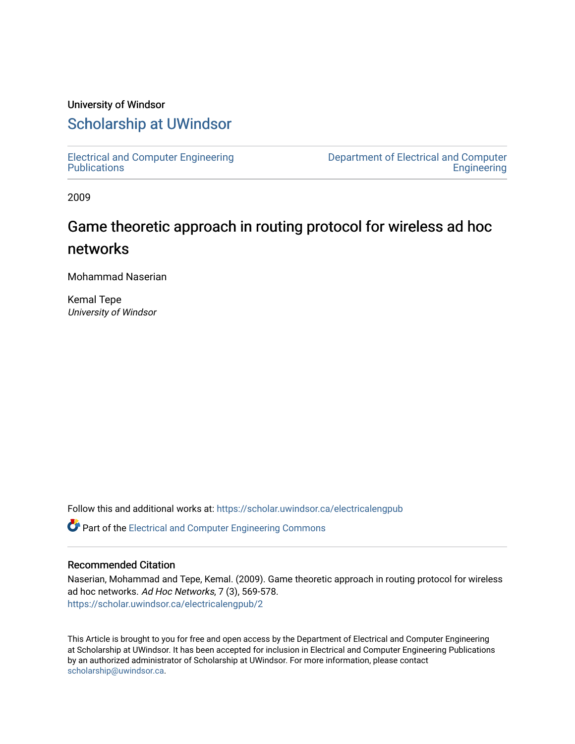### University of Windsor [Scholarship at UWindsor](https://scholar.uwindsor.ca/)

[Electrical and Computer Engineering](https://scholar.uwindsor.ca/electricalengpub) **Publications** 

[Department of Electrical and Computer](https://scholar.uwindsor.ca/electrical)  **Engineering** 

2009

# Game theoretic approach in routing protocol for wireless ad hoc networks

Mohammad Naserian

Kemal Tepe University of Windsor

Follow this and additional works at: [https://scholar.uwindsor.ca/electricalengpub](https://scholar.uwindsor.ca/electricalengpub?utm_source=scholar.uwindsor.ca%2Felectricalengpub%2F2&utm_medium=PDF&utm_campaign=PDFCoverPages)

Part of the [Electrical and Computer Engineering Commons](http://network.bepress.com/hgg/discipline/266?utm_source=scholar.uwindsor.ca%2Felectricalengpub%2F2&utm_medium=PDF&utm_campaign=PDFCoverPages) 

### Recommended Citation

Naserian, Mohammad and Tepe, Kemal. (2009). Game theoretic approach in routing protocol for wireless ad hoc networks. Ad Hoc Networks, 7 (3), 569-578. [https://scholar.uwindsor.ca/electricalengpub/2](https://scholar.uwindsor.ca/electricalengpub/2?utm_source=scholar.uwindsor.ca%2Felectricalengpub%2F2&utm_medium=PDF&utm_campaign=PDFCoverPages)

This Article is brought to you for free and open access by the Department of Electrical and Computer Engineering at Scholarship at UWindsor. It has been accepted for inclusion in Electrical and Computer Engineering Publications by an authorized administrator of Scholarship at UWindsor. For more information, please contact [scholarship@uwindsor.ca.](mailto:scholarship@uwindsor.ca)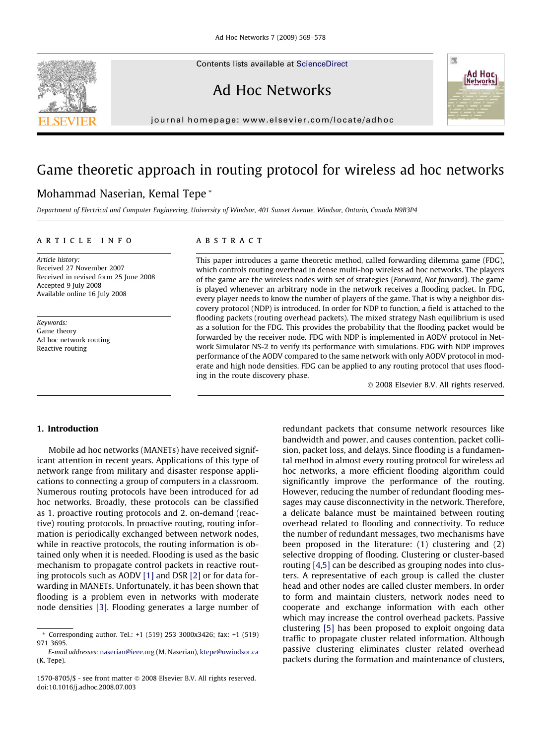Contents lists available at [ScienceDirect](http://www.sciencedirect.com/science/journal/15708705)





### Ad Hoc Networks

journal homepage: [www.elsevier.com/locate/adhoc](http://www.elsevier.com/locate/adhoc)

## Game theoretic approach in routing protocol for wireless ad hoc networks Mohammad Naserian, Kemal Tepe \*

Department of Electrical and Computer Engineering, University of Windsor, 401 Sunset Avenue, Windsor, Ontario, Canada N9B3P4

#### article info

Article history: Received 27 November 2007 Received in revised form 25 June 2008 Accepted 9 July 2008 Available online 16 July 2008

Keywords: Game theory Ad hoc network routing Reactive routing

#### **ARSTRACT**

This paper introduces a game theoretic method, called forwarding dilemma game (FDG), which controls routing overhead in dense multi-hop wireless ad hoc networks. The players of the game are the wireless nodes with set of strategies {Forward, Not forward}. The game is played whenever an arbitrary node in the network receives a flooding packet. In FDG, every player needs to know the number of players of the game. That is why a neighbor discovery protocol (NDP) is introduced. In order for NDP to function, a field is attached to the flooding packets (routing overhead packets). The mixed strategy Nash equilibrium is used as a solution for the FDG. This provides the probability that the flooding packet would be forwarded by the receiver node. FDG with NDP is implemented in AODV protocol in Network Simulator NS-2 to verify its performance with simulations. FDG with NDP improves performance of the AODV compared to the same network with only AODV protocol in moderate and high node densities. FDG can be applied to any routing protocol that uses flooding in the route discovery phase.

- 2008 Elsevier B.V. All rights reserved.

#### 1. Introduction

Mobile ad hoc networks (MANETs) have received significant attention in recent years. Applications of this type of network range from military and disaster response applications to connecting a group of computers in a classroom. Numerous routing protocols have been introduced for ad hoc networks. Broadly, these protocols can be classified as 1. proactive routing protocols and 2. on-demand (reactive) routing protocols. In proactive routing, routing information is periodically exchanged between network nodes, while in reactive protocols, the routing information is obtained only when it is needed. Flooding is used as the basic mechanism to propagate control packets in reactive routing protocols such as AODV [\[1\]](#page-9-0) and DSR [\[2\]](#page-9-0) or for data forwarding in MANETs. Unfortunately, it has been shown that flooding is a problem even in networks with moderate node densities [\[3\].](#page-9-0) Flooding generates a large number of

redundant packets that consume network resources like bandwidth and power, and causes contention, packet collision, packet loss, and delays. Since flooding is a fundamental method in almost every routing protocol for wireless ad hoc networks, a more efficient flooding algorithm could significantly improve the performance of the routing. However, reducing the number of redundant flooding messages may cause disconnectivity in the network. Therefore, a delicate balance must be maintained between routing overhead related to flooding and connectivity. To reduce the number of redundant messages, two mechanisms have been proposed in the literature: (1) clustering and (2) selective dropping of flooding. Clustering or cluster-based routing [\[4,5\]](#page-9-0) can be described as grouping nodes into clusters. A representative of each group is called the cluster head and other nodes are called cluster members. In order to form and maintain clusters, network nodes need to cooperate and exchange information with each other which may increase the control overhead packets. Passive clustering [\[5\]](#page-9-0) has been proposed to exploit ongoing data traffic to propagate cluster related information. Although passive clustering eliminates cluster related overhead packets during the formation and maintenance of clusters,

<sup>\*</sup> Corresponding author. Tel.: +1 (519) 253 3000x3426; fax: +1 (519) 971 3695.

E-mail addresses: [naserian@ieee.org](mailto:naserian@ieee.org) (M. Naserian), [ktepe@uwindsor.ca](mailto:ktepe@uwindsor.ca) (K. Tepe).

<sup>1570-8705/\$ -</sup> see front matter © 2008 Elsevier B.V. All rights reserved. doi:10.1016/j.adhoc.2008.07.003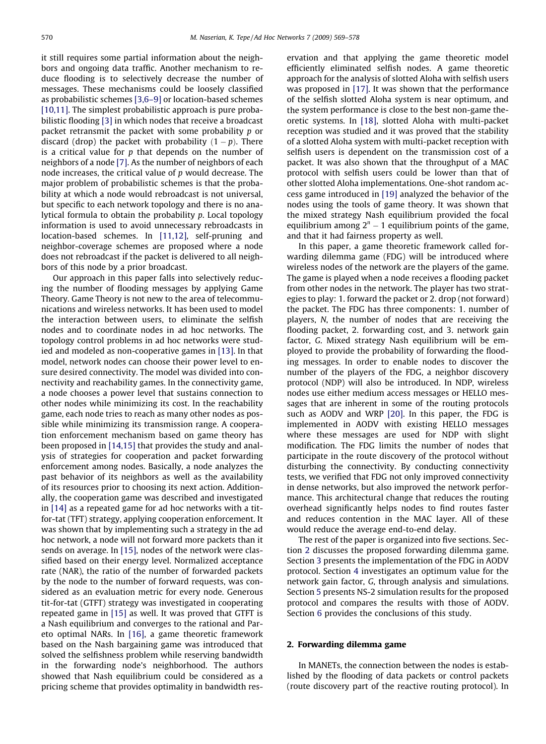it still requires some partial information about the neighbors and ongoing data traffic. Another mechanism to reduce flooding is to selectively decrease the number of messages. These mechanisms could be loosely classified as probabilistic schemes [\[3,6–9\]](#page-9-0) or location-based schemes [\[10,11\].](#page-10-0) The simplest probabilistic approach is pure probabilistic flooding [\[3\]](#page-9-0) in which nodes that receive a broadcast packet retransmit the packet with some probability p or discard (drop) the packet with probability  $(1-p)$ . There is a critical value for  $p$  that depends on the number of neighbors of a node [\[7\].](#page-9-0) As the number of neighbors of each node increases, the critical value of  $p$  would decrease. The major problem of probabilistic schemes is that the probability at which a node would rebroadcast is not universal, but specific to each network topology and there is no analytical formula to obtain the probability p. Local topology information is used to avoid unnecessary rebroadcasts in location-based schemes. In [\[11,12\]](#page-10-0), self-pruning and neighbor-coverage schemes are proposed where a node does not rebroadcast if the packet is delivered to all neighbors of this node by a prior broadcast.

Our approach in this paper falls into selectively reducing the number of flooding messages by applying Game Theory. Game Theory is not new to the area of telecommunications and wireless networks. It has been used to model the interaction between users, to eliminate the selfish nodes and to coordinate nodes in ad hoc networks. The topology control problems in ad hoc networks were studied and modeled as non-cooperative games in [\[13\].](#page-10-0) In that model, network nodes can choose their power level to ensure desired connectivity. The model was divided into connectivity and reachability games. In the connectivity game, a node chooses a power level that sustains connection to other nodes while minimizing its cost. In the reachability game, each node tries to reach as many other nodes as possible while minimizing its transmission range. A cooperation enforcement mechanism based on game theory has been proposed in [\[14,15\]](#page-10-0) that provides the study and analysis of strategies for cooperation and packet forwarding enforcement among nodes. Basically, a node analyzes the past behavior of its neighbors as well as the availability of its resources prior to choosing its next action. Additionally, the cooperation game was described and investigated in [\[14\]](#page-10-0) as a repeated game for ad hoc networks with a titfor-tat (TFT) strategy, applying cooperation enforcement. It was shown that by implementing such a strategy in the ad hoc network, a node will not forward more packets than it sends on average. In [\[15\],](#page-10-0) nodes of the network were classified based on their energy level. Normalized acceptance rate (NAR), the ratio of the number of forwarded packets by the node to the number of forward requests, was considered as an evaluation metric for every node. Generous tit-for-tat (GTFT) strategy was investigated in cooperating repeated game in [\[15\]](#page-10-0) as well. It was proved that GTFT is a Nash equilibrium and converges to the rational and Pareto optimal NARs. In [\[16\],](#page-10-0) a game theoretic framework based on the Nash bargaining game was introduced that solved the selfishness problem while reserving bandwidth in the forwarding node's neighborhood. The authors showed that Nash equilibrium could be considered as a pricing scheme that provides optimality in bandwidth res-

ervation and that applying the game theoretic model efficiently eliminated selfish nodes. A game theoretic approach for the analysis of slotted Aloha with selfish users was proposed in [\[17\]](#page-10-0). It was shown that the performance of the selfish slotted Aloha system is near optimum, and the system performance is close to the best non-game theoretic systems. In [\[18\]](#page-10-0), slotted Aloha with multi-packet reception was studied and it was proved that the stability of a slotted Aloha system with multi-packet reception with selfish users is dependent on the transmission cost of a packet. It was also shown that the throughput of a MAC protocol with selfish users could be lower than that of other slotted Aloha implementations. One-shot random access game introduced in [\[19\]](#page-10-0) analyzed the behavior of the nodes using the tools of game theory. It was shown that the mixed strategy Nash equilibrium provided the focal equilibrium among  $2^n - 1$  equilibrium points of the game, and that it had fairness property as well.

In this paper, a game theoretic framework called forwarding dilemma game (FDG) will be introduced where wireless nodes of the network are the players of the game. The game is played when a node receives a flooding packet from other nodes in the network. The player has two strategies to play: 1. forward the packet or 2. drop (not forward) the packet. The FDG has three components: 1. number of players, N, the number of nodes that are receiving the flooding packet, 2. forwarding cost, and 3. network gain factor, G. Mixed strategy Nash equilibrium will be employed to provide the probability of forwarding the flooding messages. In order to enable nodes to discover the number of the players of the FDG, a neighbor discovery protocol (NDP) will also be introduced. In NDP, wireless nodes use either medium access messages or HELLO messages that are inherent in some of the routing protocols such as AODV and WRP [\[20\].](#page-10-0) In this paper, the FDG is implemented in AODV with existing HELLO messages where these messages are used for NDP with slight modification. The FDG limits the number of nodes that participate in the route discovery of the protocol without disturbing the connectivity. By conducting connectivity tests, we verified that FDG not only improved connectivity in dense networks, but also improved the network performance. This architectural change that reduces the routing overhead significantly helps nodes to find routes faster and reduces contention in the MAC layer. All of these would reduce the average end-to-end delay.

The rest of the paper is organized into five sections. Section 2 discusses the proposed forwarding dilemma game. Section 3 presents the implementation of the FDG in AODV protocol. Section 4 investigates an optimum value for the network gain factor, G, through analysis and simulations. Section 5 presents NS-2 simulation results for the proposed protocol and compares the results with those of AODV. Section 6 provides the conclusions of this study.

#### 2. Forwarding dilemma game

In MANETs, the connection between the nodes is established by the flooding of data packets or control packets (route discovery part of the reactive routing protocol). In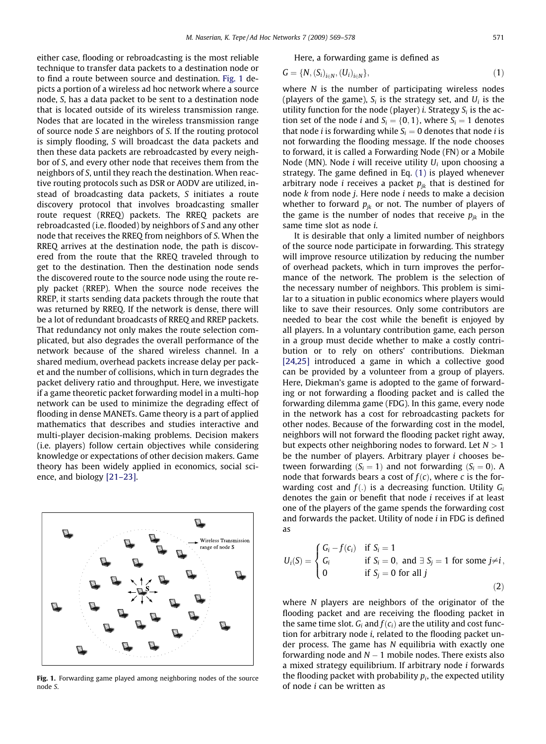either case, flooding or rebroadcasting is the most reliable technique to transfer data packets to a destination node or to find a route between source and destination. Fig. 1 depicts a portion of a wireless ad hoc network where a source node, S, has a data packet to be sent to a destination node that is located outside of its wireless transmission range. Nodes that are located in the wireless transmission range of source node S are neighbors of S. If the routing protocol is simply flooding, S will broadcast the data packets and then these data packets are rebroadcasted by every neighbor of S, and every other node that receives them from the neighbors of S, until they reach the destination. When reactive routing protocols such as DSR or AODV are utilized, instead of broadcasting data packets, S initiates a route discovery protocol that involves broadcasting smaller route request (RREQ) packets. The RREQ packets are rebroadcasted (i.e. flooded) by neighbors of S and any other node that receives the RREQ from neighbors of S. When the RREQ arrives at the destination node, the path is discovered from the route that the RREQ traveled through to get to the destination. Then the destination node sends the discovered route to the source node using the route reply packet (RREP). When the source node receives the RREP, it starts sending data packets through the route that was returned by RREQ. If the network is dense, there will be a lot of redundant broadcasts of RREQ and RREP packets. That redundancy not only makes the route selection complicated, but also degrades the overall performance of the network because of the shared wireless channel. In a shared medium, overhead packets increase delay per packet and the number of collisions, which in turn degrades the packet delivery ratio and throughput. Here, we investigate if a game theoretic packet forwarding model in a multi-hop network can be used to minimize the degrading effect of flooding in dense MANETs. Game theory is a part of applied mathematics that describes and studies interactive and multi-player decision-making problems. Decision makers (i.e. players) follow certain objectives while considering knowledge or expectations of other decision makers. Game theory has been widely applied in economics, social science, and biology [\[21–23\].](#page-10-0)



Fig. 1. Forwarding game played among neighboring nodes of the source node S.

Here, a forwarding game is defined as

$$
G = \{N, (S_i)_{i \in N}, (U_i)_{i \in N}\},\tag{1}
$$

where  $N$  is the number of participating wireless nodes (players of the game),  $S_i$  is the strategy set, and  $U_i$  is the utility function for the node (player) *i*. Strategy  $S_i$  is the action set of the node *i* and  $S_i = \{0, 1\}$ , where  $S_i = 1$  denotes that node *i* is forwarding while  $S_i = 0$  denotes that node *i* is not forwarding the flooding message. If the node chooses to forward, it is called a Forwarding Node (FN) or a Mobile Node (MN). Node *i* will receive utility  $U_i$  upon choosing a strategy. The game defined in Eq. (1) is played whenever arbitrary node *i* receives a packet  $p_{ik}$  that is destined for node k from node j. Here node i needs to make a decision whether to forward  $p_{ik}$  or not. The number of players of the game is the number of nodes that receive  $p_{ik}$  in the same time slot as node i.

It is desirable that only a limited number of neighbors of the source node participate in forwarding. This strategy will improve resource utilization by reducing the number of overhead packets, which in turn improves the performance of the network. The problem is the selection of the necessary number of neighbors. This problem is similar to a situation in public economics where players would like to save their resources. Only some contributors are needed to bear the cost while the benefit is enjoyed by all players. In a voluntary contribution game, each person in a group must decide whether to make a costly contribution or to rely on others' contributions. Diekman [\[24,25\]](#page-10-0) introduced a game in which a collective good can be provided by a volunteer from a group of players. Here, Diekman's game is adopted to the game of forwarding or not forwarding a flooding packet and is called the forwarding dilemma game (FDG). In this game, every node in the network has a cost for rebroadcasting packets for other nodes. Because of the forwarding cost in the model, neighbors will not forward the flooding packet right away, but expects other neighboring nodes to forward. Let  $N > 1$ be the number of players. Arbitrary player i chooses between forwarding  $(S_i = 1)$  and not forwarding  $(S_i = 0)$ . A node that forwards bears a cost of  $f(c)$ , where c is the forwarding cost and  $f(.)$  is a decreasing function. Utility  $G_i$ denotes the gain or benefit that node i receives if at least one of the players of the game spends the forwarding cost and forwards the packet. Utility of node i in FDG is defined as

$$
U_i(S) = \begin{cases} G_i - f(c_i) & \text{if } S_i = 1 \\ G_i & \text{if } S_i = 0, \text{ and } \exists S_j = 1 \text{ for some } j \neq i, \\ 0 & \text{if } S_j = 0 \text{ for all } j \end{cases}
$$
(2)

where N players are neighbors of the originator of the flooding packet and are receiving the flooding packet in the same time slot.  $G_i$  and  $f(c_i)$  are the utility and cost function for arbitrary node i, related to the flooding packet under process. The game has N equilibria with exactly one forwarding node and  $N-1$  mobile nodes. There exists also a mixed strategy equilibrium. If arbitrary node  $i$  forwards the flooding packet with probability  $p_i$ , the expected utility of node i can be written as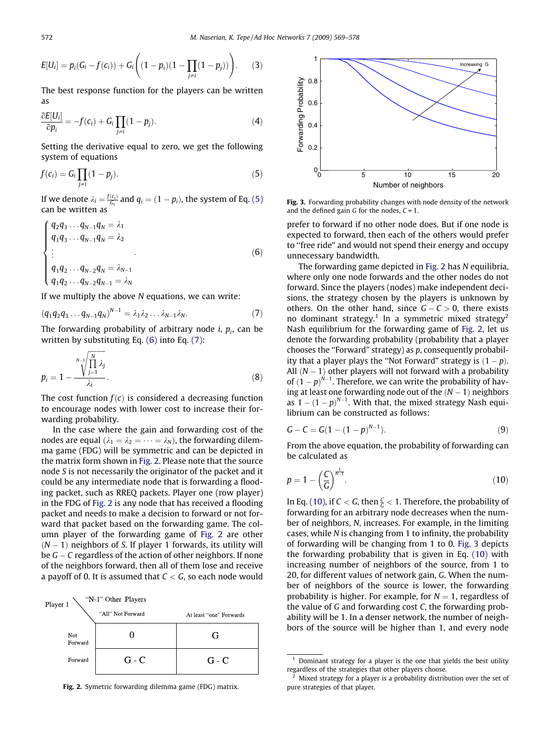<span id="page-4-0"></span>
$$
E[U_i] = p_i(G_i - f(c_i)) + G_i\left((1 - p_i)(1 - \prod_{j \neq i} (1 - p_j))\right).
$$
 (3)

The best response function for the players can be written as

$$
\frac{\partial E[U_i]}{\partial p_i} = -f(c_i) + G_i \prod_{j \neq i} (1 - p_j). \tag{4}
$$

Setting the derivative equal to zero, we get the following system of equations

$$
f(c_i) = G_i \prod_{j \neq i} (1 - p_j). \tag{5}
$$

If we denote  $\lambda_i = \frac{f(c_i)}{G_i}$  and  $q_i = (1 - p_i)$ , the system of Eq. (5) can be written as

$$
\begin{cases}\nq_2 q_3 \dots q_{N-1} q_N = \lambda_1 \\
q_1 q_3 \dots q_{N-1} q_N = \lambda_2 \\
\vdots \\
q_1 q_2 \dots q_{N-2} q_N = \lambda_{N-1} \\
q_1 q_2 \dots q_{N-2} q_{N-1} = \lambda_N\n\end{cases} (6)
$$

If we multiply the above N equations, we can write:

$$
(q_1 q_2 q_3 \dots q_{N-1} q_N)^{N-1} = \lambda_1 \lambda_2 \dots \lambda_{N-1} \lambda_N. \tag{7}
$$

The forwarding probability of arbitrary node *i*,  $p_i$ , can be written by substituting Eq. (6) into Eq. (7):

$$
p_i = 1 - \frac{\sum_{j=1}^{N-1} \prod_{j=1}^N \lambda_j}{\lambda_i}.
$$
\n(8)

The cost function  $f(c)$  is considered a decreasing function to encourage nodes with lower cost to increase their forwarding probability.

In the case where the gain and forwarding cost of the nodes are equal  $(\lambda_1 = \lambda_2 = \cdots = \lambda_N)$ , the forwarding dilemma game (FDG) will be symmetric and can be depicted in the matrix form shown in Fig. 2. Please note that the source node S is not necessarily the originator of the packet and it could be any intermediate node that is forwarding a flooding packet, such as RREQ packets. Player one (row player) in the FDG of Fig. 2 is any node that has received a flooding packet and needs to make a decision to forward or not forward that packet based on the forwarding game. The column player of the forwarding game of Fig. 2 are other  $(N-1)$  neighbors of S. If player 1 forwards, its utility will be  $G - C$  regardless of the action of other neighbors. If none of the neighbors forward, then all of them lose and receive a payoff of 0. It is assumed that  $C < G$ , so each node would

"N-1" Other Players Player 1 "All" Not Forward At least "one" Forwards  $\overline{0}$ G Not Forward  $G - C$  $G - C$ Forward

Fig. 2. Symetric forwarding dilemma game (FDG) matrix.



Fig. 3. Forwarding probability changes with node density of the network and the defined gain  $G$  for the nodes,  $C = 1$ .

prefer to forward if no other node does. But if one node is expected to forward, then each of the others would prefer to ''free ride" and would not spend their energy and occupy unnecessary bandwidth.

The forwarding game depicted in Fig. 2 has N equilibria, where only one node forwards and the other nodes do not forward. Since the players (nodes) make independent decisions, the strategy chosen by the players is unknown by others. On the other hand, since  $G - C > 0$ , there exists no dominant strategy.<sup>1</sup> In a symmetric mixed strategy<sup>2</sup> Nash equilibrium for the forwarding game of Fig. 2, let us denote the forwarding probability (probability that a player chooses the ''Forward" strategy) as p, consequently probability that a player plays the "Not Forward" strategy is  $(1 - p)$ . All  $(N-1)$  other players will not forward with a probability of  $(1-p)^{N-1}$ . Therefore, we can write the probability of having at least one forwarding node out of the  $(N-1)$  neighbors as  $1-(1-p)^{N-1}$ . With that, the mixed strategy Nash equilibrium can be constructed as follows:

$$
G - C = G(1 - (1 - p)^{N-1}).
$$
\n(9)

From the above equation, the probability of forwarding can be calculated as

$$
p = 1 - \left(\frac{C}{G}\right)^{\frac{1}{N-1}}.\tag{10}
$$

In Eq. (10), if  $C < G$ , then  $\frac{C}{G} < 1$ . Therefore, the probability of forwarding for an arbitrary node decreases when the number of neighbors, N, increases. For example, in the limiting cases, while N is changing from 1 to infinity, the probability of forwarding will be changing from 1 to 0. Fig. 3 depicts the forwarding probability that is given in Eq. (10) with increasing number of neighbors of the source, from 1 to 20, for different values of network gain, G. When the number of neighbors of the source is lower, the forwarding probability is higher. For example, for  $N = 1$ , regardless of the value of G and forwarding cost C, the forwarding probability will be 1. In a denser network, the number of neighbors of the source will be higher than 1, and every node

<sup>1</sup> Dominant strategy for a player is the one that yields the best utility regardless of the strategies that other players choose.

<sup>2</sup> Mixed strategy for a player is a probability distribution over the set of pure strategies of that player.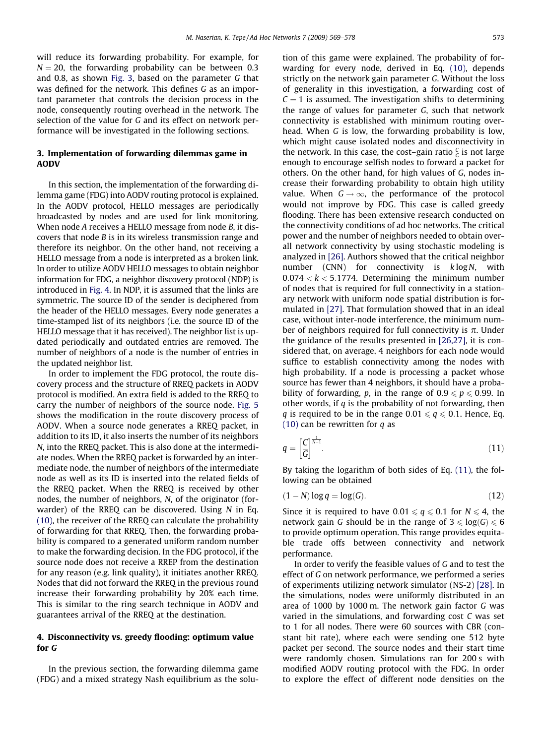will reduce its forwarding probability. For example, for  $N = 20$ , the forwarding probability can be between 0.3 and 0.8, as shown [Fig. 3](#page-4-0), based on the parameter G that was defined for the network. This defines G as an important parameter that controls the decision process in the node, consequently routing overhead in the network. The selection of the value for G and its effect on network performance will be investigated in the following sections.

#### 3. Implementation of forwarding dilemmas game in AODV

In this section, the implementation of the forwarding dilemma game (FDG) into AODV routing protocol is explained. In the AODV protocol, HELLO messages are periodically broadcasted by nodes and are used for link monitoring. When node A receives a HELLO message from node B, it discovers that node B is in its wireless transmission range and therefore its neighbor. On the other hand, not receiving a HELLO message from a node is interpreted as a broken link. In order to utilize AODV HELLO messages to obtain neighbor information for FDG, a neighbor discovery protocol (NDP) is introduced in [Fig. 4](#page-6-0). In NDP, it is assumed that the links are symmetric. The source ID of the sender is deciphered from the header of the HELLO messages. Every node generates a time-stamped list of its neighbors (i.e. the source ID of the HELLO message that it has received). The neighbor list is updated periodically and outdated entries are removed. The number of neighbors of a node is the number of entries in the updated neighbor list.

In order to implement the FDG protocol, the route discovery process and the structure of RREQ packets in AODV protocol is modified. An extra field is added to the RREQ to carry the number of neighbors of the source node. [Fig. 5](#page-7-0) shows the modification in the route discovery process of AODV. When a source node generates a RREQ packet, in addition to its ID, it also inserts the number of its neighbors N, into the RREQ packet. This is also done at the intermediate nodes. When the RREQ packet is forwarded by an intermediate node, the number of neighbors of the intermediate node as well as its ID is inserted into the related fields of the RREQ packet. When the RREQ is received by other nodes, the number of neighbors, N, of the originator (forwarder) of the RREQ can be discovered. Using N in Eq. [\(10\)](#page-4-0), the receiver of the RREQ can calculate the probability of forwarding for that RREQ. Then, the forwarding probability is compared to a generated uniform random number to make the forwarding decision. In the FDG protocol, if the source node does not receive a RREP from the destination for any reason (e.g. link quality), it initiates another RREQ. Nodes that did not forward the RREQ in the previous round increase their forwarding probability by 20% each time. This is similar to the ring search technique in AODV and guarantees arrival of the RREQ at the destination.

#### 4. Disconnectivity vs. greedy flooding: optimum value for G

In the previous section, the forwarding dilemma game (FDG) and a mixed strategy Nash equilibrium as the solution of this game were explained. The probability of forwarding for every node, derived in Eq. [\(10\)](#page-4-0), depends strictly on the network gain parameter G. Without the loss of generality in this investigation, a forwarding cost of  $C = 1$  is assumed. The investigation shifts to determining the range of values for parameter G, such that network connectivity is established with minimum routing overhead. When G is low, the forwarding probability is low, which might cause isolated nodes and disconnectivity in the network. In this case, the cost–gain ratio  $\frac{c}{c}$  is not large enough to encourage selfish nodes to forward a packet for others. On the other hand, for high values of G, nodes increase their forwarding probability to obtain high utility value. When  $G \rightarrow \infty$ , the performance of the protocol would not improve by FDG. This case is called greedy flooding. There has been extensive research conducted on the connectivity conditions of ad hoc networks. The critical power and the number of neighbors needed to obtain overall network connectivity by using stochastic modeling is analyzed in [\[26\].](#page-10-0) Authors showed that the critical neighbor number  $(CNN)$  for connectivity is  $k \log N$ , with  $0.074 < k < 5.1774$ . Determining the minimum number of nodes that is required for full connectivity in a stationary network with uniform node spatial distribution is formulated in [\[27\]](#page-10-0). That formulation showed that in an ideal case, without inter-node interference, the minimum number of neighbors required for full connectivity is  $\pi$ . Under the guidance of the results presented in [\[26,27\]](#page-10-0), it is considered that, on average, 4 neighbors for each node would suffice to establish connectivity among the nodes with high probability. If a node is processing a packet whose source has fewer than 4 neighbors, it should have a probability of forwarding, p, in the range of  $0.9 \leq p \leq 0.99$ . In other words, if  $q$  is the probability of not forwarding, then q is required to be in the range  $0.01 \le q \le 0.1$ . Hence, Eq. [\(10\)](#page-4-0) can be rewritten for  $q$  as

$$
q = \left[\frac{C}{G}\right]^{\frac{1}{N-1}}.\tag{11}
$$

By taking the logarithm of both sides of Eq. (11), the following can be obtained

$$
(1 - N) \log q = \log(G). \tag{12}
$$

Since it is required to have  $0.01 \le q \le 0.1$  for  $N \le 4$ , the network gain G should be in the range of  $3 \leq \log(G) \leq 6$ to provide optimum operation. This range provides equitable trade offs between connectivity and network performance.

In order to verify the feasible values of G and to test the effect of G on network performance, we performed a series of experiments utilizing network simulator (NS-2) [\[28\]](#page-10-0). In the simulations, nodes were uniformly distributed in an area of 1000 by 1000 m. The network gain factor G was varied in the simulations, and forwarding cost C was set to 1 for all nodes. There were 60 sources with CBR (constant bit rate), where each were sending one 512 byte packet per second. The source nodes and their start time were randomly chosen. Simulations ran for 200 s with modified AODV routing protocol with the FDG. In order to explore the effect of different node densities on the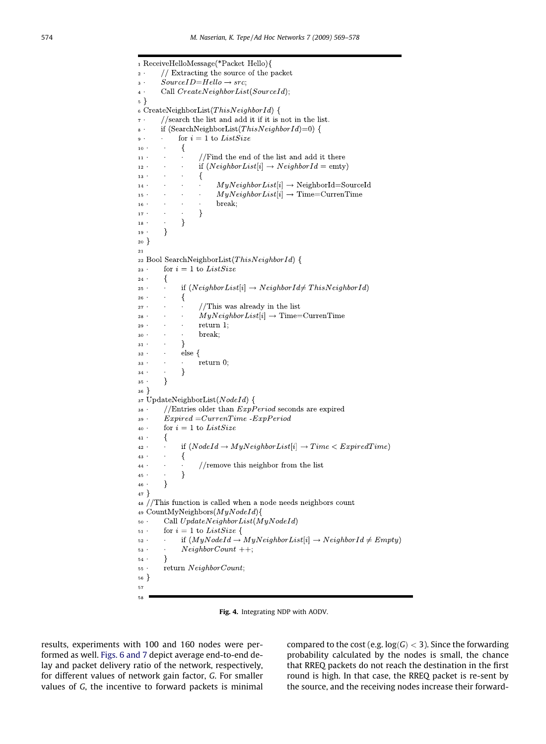<span id="page-6-0"></span> $_1$ ReceiveHelloMessage(\*Packet Hello){  $//$  Extracting the source of the packet  $_{2}$  .  $SourceID=Hello \rightarrow src$ :  $\overline{3}$ . Call  $CreateNeighbourList(SourceId);$  $_4$  .  $5$ }  $6$  CreateNeighborList(*ThisNeighborId*) {  $//$ search the list and add it if it is not in the list.  $\tau$ . if (SearchNeighborList(ThisNeighborId)=0) {  $\overline{\mathbf{8}}$ .  $\overline{9}$ .  $\mathbb{R}^2$ for  $i = 1$  to ListSize  $10^{-4}$  $\cdot$  $\{$  $//Find the end of the list and add it there$  $11.7$  $\ddot{\phantom{a}}$ if  $(NeighbourList[i] \rightarrow NeighbourId = \text{emty})$  $12$ .  $13.1$  $\ddot{\phantom{a}}$  $\{$  $MyNeighbourList[i] \rightarrow NeighbourId = SourceId$  $14$   $\cdot$  $\ddot{\phantom{a}}$ J.  $MyNeighbourList[i] \rightarrow Time=CurrentTime$  $1.5 - 1$  $\ddot{\phantom{a}}$ break:  $16 17.$  $\ddot{\phantom{a}}$ þ  $\overline{a}$ ł  $18 \mathcal{E}$  $19 20<sup>1</sup>$  $\overline{21}$ 22 Bool SearchNeighborList( $This NeighbourId$ ) { for  $i = 1$  to ListSize  $23 -$ {  $24$   $\cdot$  $25$ if  $(NeighborList[i] \rightarrow NeighborId \neq ThisNeighborId)$  $26$ .  $\ddot{\phantom{0}}$ ₹  $27.$ //This was already in the list  $\overline{a}$  $MyNeighbourList[i] \rightarrow Time=CurrentTime$  $28.1$ return 1;  $29.$ break;  $30$ .  $\ddot{\phantom{0}}$ ÷.  $\overline{a}$  $\mathcal{F}$  $31.$  $else$  {  $32 33$  $return 0;$  $\mathcal{E}$  $34 \ddot{\phantom{a}}$  $35 \mathcal{E}$  $36$ } 37 UpdateNeighborList(NodeId) { //Entries older than  $ExpPeriod$  seconds are expired  $38 39 Expected = CurrentTime - ExpPeriod$ for  $i = 1$  to ListSize  $40.1$  $41.1$ ł if  $(Nodeld \rightarrow MyNeighbourList[i] \rightarrow Time < ExpiredTime)$  $42$ .  $43$ .  $\{$  $//$ remove this neighbor from the list  $44.$  $\ddot{\phantom{a}}$  $\}$  $45.4$  $46$ .  $\mathcal{E}$ 47 } 48 //This function is called when a node needs neighbors count 49 CountMyNeighbors( $MyNodeId$ ){ Call  $UpdateNeighbourList(MyNodeId)$  $50.$  $_{51}$  . for  $i = 1$  to ListSize { if  $(MyNodeId \rightarrow MyNeighbourList[i] \rightarrow NeighbourId \neq Empty)$  $52$ .  $\Delta$  $NeighbourCount$  ++;  $53 \mathcal{E}$  $54.$  $55$   $\cdot$ return NeighborCount;  $56\}$  $57$  $58$ 



results, experiments with 100 and 160 nodes were performed as well. [Figs. 6 and 7](#page-7-0) depict average end-to-end delay and packet delivery ratio of the network, respectively, for different values of network gain factor, G. For smaller values of G, the incentive to forward packets is minimal

compared to the cost (e.g.  $log(G) < 3$ ). Since the forwarding probability calculated by the nodes is small, the chance that RREQ packets do not reach the destination in the first round is high. In that case, the RREQ packet is re-sent by the source, and the receiving nodes increase their forward-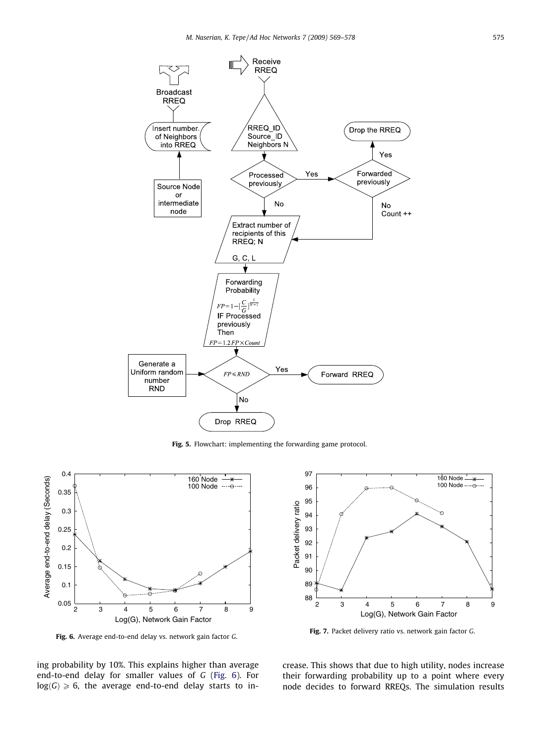<span id="page-7-0"></span>

Fig. 5. Flowchart: implementing the forwarding game protocol.



Fig. 6. Average end-to-end delay vs. network gain factor G.

ing probability by 10%. This explains higher than average end-to-end delay for smaller values of G (Fig. 6). For  $log(G) \ge 6$ , the average end-to-end delay starts to in-



Fig. 7. Packet delivery ratio vs. network gain factor G.

crease. This shows that due to high utility, nodes increase their forwarding probability up to a point where every node decides to forward RREQs. The simulation results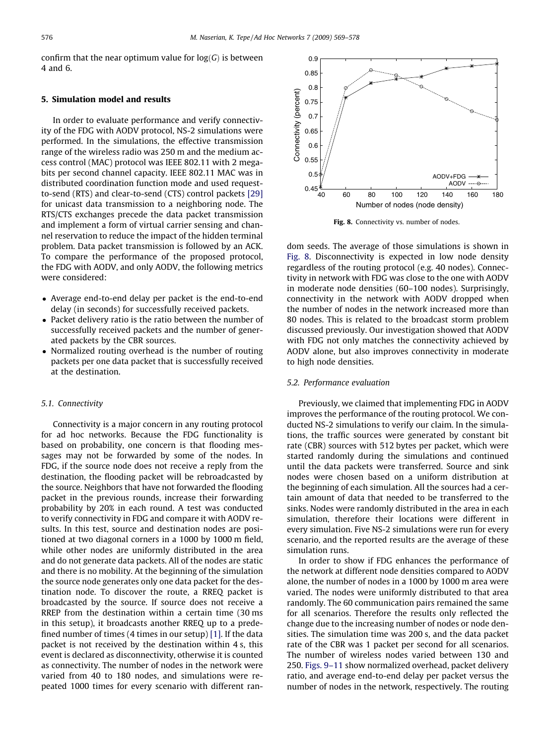confirm that the near optimum value for  $log(G)$  is between 4 and 6.

#### 5. Simulation model and results

In order to evaluate performance and verify connectivity of the FDG with AODV protocol, NS-2 simulations were performed. In the simulations, the effective transmission range of the wireless radio was 250 m and the medium access control (MAC) protocol was IEEE 802.11 with 2 megabits per second channel capacity. IEEE 802.11 MAC was in distributed coordination function mode and used requestto-send (RTS) and clear-to-send (CTS) control packets [\[29\]](#page-10-0) for unicast data transmission to a neighboring node. The RTS/CTS exchanges precede the data packet transmission and implement a form of virtual carrier sensing and channel reservation to reduce the impact of the hidden terminal problem. Data packet transmission is followed by an ACK. To compare the performance of the proposed protocol, the FDG with AODV, and only AODV, the following metrics were considered:

- Average end-to-end delay per packet is the end-to-end delay (in seconds) for successfully received packets.
- Packet delivery ratio is the ratio between the number of successfully received packets and the number of generated packets by the CBR sources.
- Normalized routing overhead is the number of routing packets per one data packet that is successfully received at the destination.

#### 5.1. Connectivity

Connectivity is a major concern in any routing protocol for ad hoc networks. Because the FDG functionality is based on probability, one concern is that flooding messages may not be forwarded by some of the nodes. In FDG, if the source node does not receive a reply from the destination, the flooding packet will be rebroadcasted by the source. Neighbors that have not forwarded the flooding packet in the previous rounds, increase their forwarding probability by 20% in each round. A test was conducted to verify connectivity in FDG and compare it with AODV results. In this test, source and destination nodes are positioned at two diagonal corners in a 1000 by 1000 m field, while other nodes are uniformly distributed in the area and do not generate data packets. All of the nodes are static and there is no mobility. At the beginning of the simulation the source node generates only one data packet for the destination node. To discover the route, a RREQ packet is broadcasted by the source. If source does not receive a RREP from the destination within a certain time (30 ms in this setup), it broadcasts another RREQ up to a predefined number of times (4 times in our setup) [\[1\]](#page-9-0). If the data packet is not received by the destination within 4 s, this event is declared as disconnectivity, otherwise it is counted as connectivity. The number of nodes in the network were varied from 40 to 180 nodes, and simulations were repeated 1000 times for every scenario with different ran-



Fig. 8. Connectivity vs. number of nodes.

dom seeds. The average of those simulations is shown in Fig. 8. Disconnectivity is expected in low node density regardless of the routing protocol (e.g. 40 nodes). Connectivity in network with FDG was close to the one with AODV in moderate node densities (60–100 nodes). Surprisingly, connectivity in the network with AODV dropped when the number of nodes in the network increased more than 80 nodes. This is related to the broadcast storm problem discussed previously. Our investigation showed that AODV with FDG not only matches the connectivity achieved by AODV alone, but also improves connectivity in moderate to high node densities.

#### 5.2. Performance evaluation

Previously, we claimed that implementing FDG in AODV improves the performance of the routing protocol. We conducted NS-2 simulations to verify our claim. In the simulations, the traffic sources were generated by constant bit rate (CBR) sources with 512 bytes per packet, which were started randomly during the simulations and continued until the data packets were transferred. Source and sink nodes were chosen based on a uniform distribution at the beginning of each simulation. All the sources had a certain amount of data that needed to be transferred to the sinks. Nodes were randomly distributed in the area in each simulation, therefore their locations were different in every simulation. Five NS-2 simulations were run for every scenario, and the reported results are the average of these simulation runs.

In order to show if FDG enhances the performance of the network at different node densities compared to AODV alone, the number of nodes in a 1000 by 1000 m area were varied. The nodes were uniformly distributed to that area randomly. The 60 communication pairs remained the same for all scenarios. Therefore the results only reflected the change due to the increasing number of nodes or node densities. The simulation time was 200 s, and the data packet rate of the CBR was 1 packet per second for all scenarios. The number of wireless nodes varied between 130 and 250. Figs. [9–11](#page-9-0) show normalized overhead, packet delivery ratio, and average end-to-end delay per packet versus the number of nodes in the network, respectively. The routing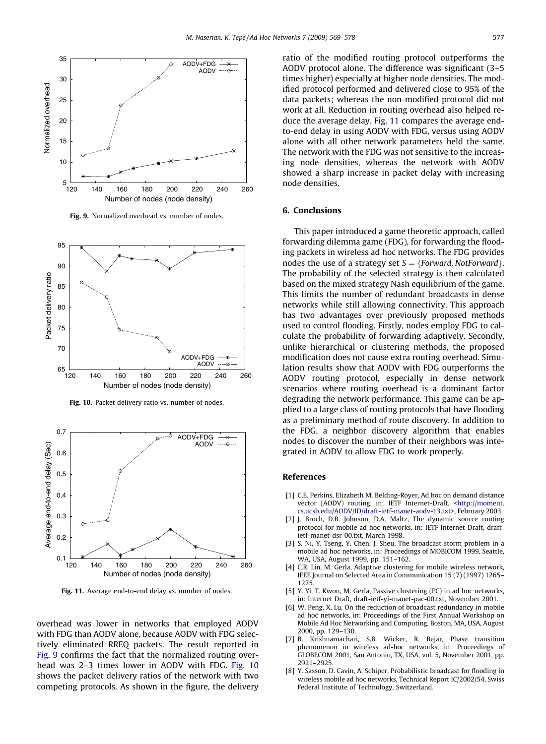<span id="page-9-0"></span>

Fig. 9. Normalized overhead vs. number of nodes.



Fig. 10. Packet delivery ratio vs. number of nodes.



Fig. 11. Average end-to-end delay vs. number of nodes.

overhead was lower in networks that employed AODV with FDG than AODV alone, because AODV with FDG selectively eliminated RREQ packets. The result reported in Fig. 9 confirms the fact that the normalized routing overhead was 2–3 times lower in AODV with FDG. Fig. 10 shows the packet delivery ratios of the network with two competing protocols. As shown in the figure, the delivery

ratio of the modified routing protocol outperforms the AODV protocol alone. The difference was significant (3–5 times higher) especially at higher node densities. The modified protocol performed and delivered close to 95% of the data packets; whereas the non-modified protocol did not work at all. Reduction in routing overhead also helped reduce the average delay. Fig. 11 compares the average endto-end delay in using AODV with FDG, versus using AODV alone with all other network parameters held the same. The network with the FDG was not sensitive to the increasing node densities, whereas the network with AODV showed a sharp increase in packet delay with increasing node densities.

#### 6. Conclusions

This paper introduced a game theoretic approach, called forwarding dilemma game (FDG), for forwarding the flooding packets in wireless ad hoc networks. The FDG provides nodes the use of a strategy set  $S = \{Forward, NotForward\}$ . The probability of the selected strategy is then calculated based on the mixed strategy Nash equilibrium of the game. This limits the number of redundant broadcasts in dense networks while still allowing connectivity. This approach has two advantages over previously proposed methods used to control flooding. Firstly, nodes employ FDG to calculate the probability of forwarding adaptively. Secondly, unlike hierarchical or clustering methods, the proposed modification does not cause extra routing overhead. Simulation results show that AODV with FDG outperforms the AODV routing protocol, especially in dense network scenarios where routing overhead is a dominant factor degrading the network performance. This game can be applied to a large class of routing protocols that have flooding as a preliminary method of route discovery. In addition to the FDG, a neighbor discovery algorithm that enables nodes to discover the number of their neighbors was integrated in AODV to allow FDG to work properly.

#### References

- [1] C.E. Perkins, Elizabeth M. Belding-Royer, Ad hoc on demand distance vector (AODV) routing, in: IETF Internet-Draft. [<http://moment.](http://moment.cs.ucsb.edu/AODV/ID/draft-ietf-manet-aodv-13.txt) [cs.ucsb.edu/AODV/ID/draft-ietf-manet-aodv-13.txt>](http://moment.cs.ucsb.edu/AODV/ID/draft-ietf-manet-aodv-13.txt), February 2003.
- [2] J. Broch, D.B. Johnson, D.A. Maltz, The dynamic source routing protocol for mobile ad hoc networks, in: IETF Internet-Draft, draftietf-manet-dsr-00.txt, March 1998.
- [3] S. Ni, Y. Tseng, Y. Chen, J. Sheu, The broadcast storm problem in a mobile ad hoc networks, in: Proceedings of MOBICOM 1999, Seattle, WA, USA, August 1999, pp. 151–162.
- [4] C.R. Lin, M. Gerla, Adaptive clustering for mobile wireless network, IEEE Journal on Selected Area in Communication 15 (7) (1997) 1265– 1275.
- [5] Y. Yi, T. Kwon, M. Gerla, Passive clustering (PC) in ad hoc networks, in: Internet Draft, draft-ietf-yi-manet-pac-00.txt, November 2001.
- [6] W. Peng, X. Lu, On the reduction of broadcast redundancy in mobile ad hoc networks, in: Proceedings of the First Annual Workshop on Mobile Ad Hoc Networking and Computing, Boston, MA, USA, August 2000, pp. 129–130.
- Krishnamachari, S.B. Wicker, R. Bejar, Phase transition phenomenon in wireless ad-hoc networks, in: Proceedings of GLOBECOM 2001, San Antonio, TX, USA, vol. 5, November 2001, pp. 2921–2925.
- [8] Y. Sasson, D. Cavin, A. Schiper, Probabilistic broadcast for flooding in wireless mobile ad hoc networks, Technical Report IC/2002/54, Swiss Federal Institute of Technology, Switzerland.